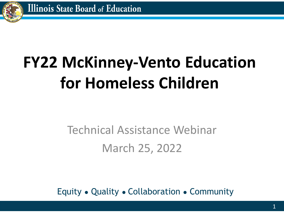

# **FY22 McKinney-Vento Education for Homeless Children**

### Technical Assistance Webinar March 25, 2022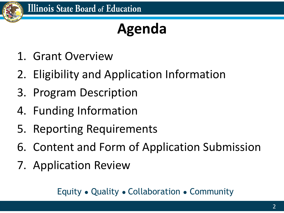

## **Agenda**

- 1. Grant Overview
- 2. Eligibility and Application Information
- 3. Program Description
- 4. Funding Information
- 5. Reporting Requirements
- 6. Content and Form of Application Submission
- 7. Application Review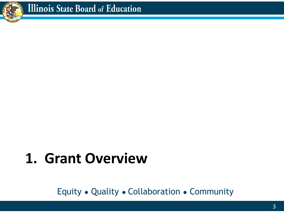

## **1. Grant Overview**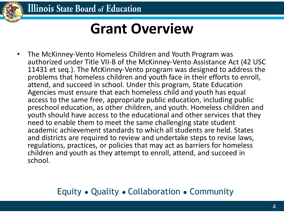

### **Grant Overview**

• The McKinney-Vento Homeless Children and Youth Program was authorized under Title VII-B of the McKinney-Vento Assistance Act (42 USC 11431 et seq.). The McKinney-Vento program was designed to address the problems that homeless children and youth face in their efforts to enroll, attend, and succeed in school. Under this program, State Education Agencies must ensure that each homeless child and youth has equal access to the same free, appropriate public education, including public preschool education, as other children, and youth. Homeless children and youth should have access to the educational and other services that they need to enable them to meet the same challenging state student academic achievement standards to which all students are held. States and districts are required to review and undertake steps to revise laws, regulations, practices, or policies that may act as barriers for homeless children and youth as they attempt to enroll, attend, and succeed in school.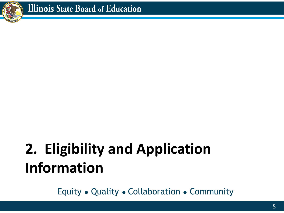

## **2. Eligibility and Application Information**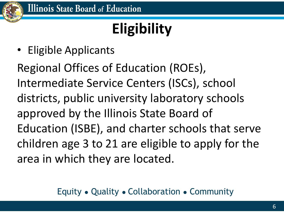

## **Eligibility**

• Eligible Applicants

Regional Offices of Education (ROEs), Intermediate Service Centers (ISCs), school districts, public university laboratory schools approved by the Illinois State Board of Education (ISBE), and charter schools that serve children age 3 to 21 are eligible to apply for the area in which they are located.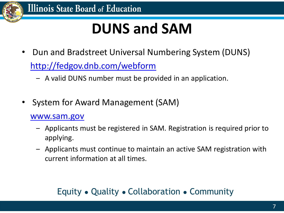

## **DUNS and SAM**

- Dun and Bradstreet Universal Numbering System (DUNS) <http://fedgov.dnb.com/webform>
	- ‒ A valid DUNS number must be provided in an application.
- System for Award Management (SAM)

#### [www.sam.gov](http://www.sam.gov/)

- ‒ Applicants must be registered in SAM. Registration is required prior to applying.
- ‒ Applicants must continue to maintain an active SAM registration with current information at all times.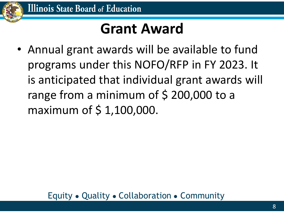

## **Grant Award**

• Annual grant awards will be available to fund programs under this NOFO/RFP in FY 2023. It is anticipated that individual grant awards will range from a minimum of  $\frac{1}{2}$  200,000 to a maximum of \$ 1,100,000.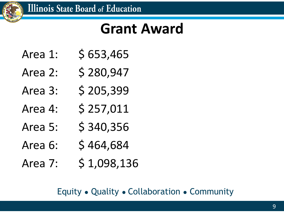

### **Grant Award**

- Area 1: \$ 653,465
- Area 2: \$280,947
- Area 3: \$ 205,399
- Area 4: \$ 257,011
- Area 5:  $\frac{1}{5}$  \$ 340,356
- Area 6: \$464,684
- Area 7: \$1,098,136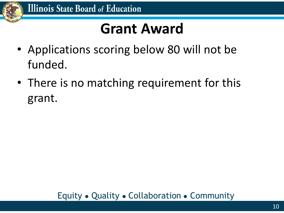

### **Grant Award**

- Applications scoring below 80 will not be funded.
- There is no matching requirement for this grant.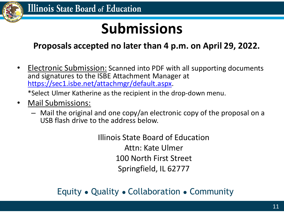

## **Submissions**

#### **Proposals accepted no later than 4 p.m. on April 29, 2022.**

• Electronic Submission: Scanned into PDF with all supporting documents and signatures to the ISBE Attachment Manager at <https://sec1.isbe.net/attachmgr/default.aspx>.

\*Select Ulmer Katherine as the recipient in the drop-down menu.

- Mail Submissions:
	- Mail the original and one copy/an electronic copy of the proposal on a USB flash drive to the address below.

Illinois State Board of Education Attn: Kate Ulmer 100 North First Street Springfield, IL 62777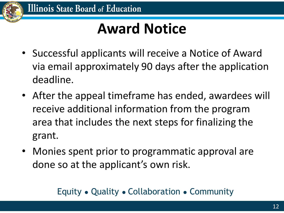

## **Award Notice**

- Successful applicants will receive a Notice of Award via email approximately 90 days after the application deadline.
- After the appeal timeframe has ended, awardees will receive additional information from the program area that includes the next steps for finalizing the grant.
- Monies spent prior to programmatic approval are done so at the applicant's own risk.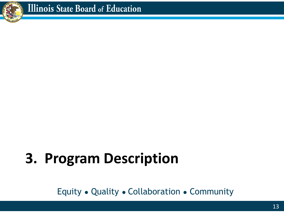

# **3. Program Description**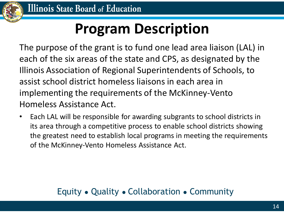

## **Program Description**

The purpose of the grant is to fund one lead area liaison (LAL) in each of the six areas of the state and CPS, as designated by the Illinois Association of Regional Superintendents of Schools, to assist school district homeless liaisons in each area in implementing the requirements of the McKinney-Vento Homeless Assistance Act.

• Each LAL will be responsible for awarding subgrants to school districts in its area through a competitive process to enable school districts showing the greatest need to establish local programs in meeting the requirements of the McKinney-Vento Homeless Assistance Act.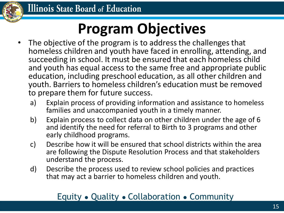

## **Program Objectives**

- The objective of the program is to address the challenges that homeless children and youth have faced in enrolling, attending, and succeeding in school. It must be ensured that each homeless child and youth has equal access to the same free and appropriate public education, including preschool education, as all other children and youth. Barriers to homeless children's education must be removed to prepare them for future success.
	- a) Explain process of providing information and assistance to homeless families and unaccompanied youth in a timely manner.
	- b) Explain process to collect data on other children under the age of 6 and identify the need for referral to Birth to 3 programs and other early childhood programs.
	- c) Describe how it will be ensured that school districts within the area are following the Dispute Resolution Process and that stakeholders understand the process.
	- d) Describe the process used to review school policies and practices that may act a barrier to homeless children and youth.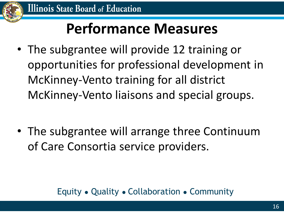

## **Performance Measures**

• The subgrantee will provide 12 training or opportunities for professional development in McKinney-Vento training for all district McKinney-Vento liaisons and special groups.

• The subgrantee will arrange three Continuum of Care Consortia service providers.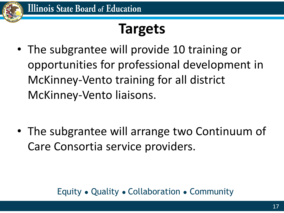

### **Targets**

• The subgrantee will provide 10 training or opportunities for professional development in McKinney-Vento training for all district McKinney-Vento liaisons.

• The subgrantee will arrange two Continuum of Care Consortia service providers.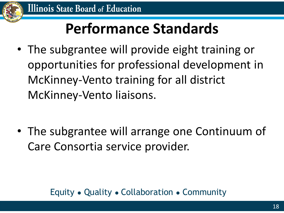

## **Performance Standards**

• The subgrantee will provide eight training or opportunities for professional development in McKinney-Vento training for all district McKinney-Vento liaisons.

• The subgrantee will arrange one Continuum of Care Consortia service provider.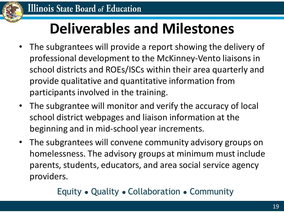

## **Deliverables and Milestones**

- The subgrantees will provide a report showing the delivery of professional development to the McKinney-Vento liaisons in school districts and ROEs/ISCs within their area quarterly and provide qualitative and quantitative information from participants involved in the training.
- The subgrantee will monitor and verify the accuracy of local school district webpages and liaison information at the beginning and in mid-school year increments.
- The subgrantees will convene community advisory groups on homelessness. The advisory groups at minimum must include parents, students, educators, and area social service agency providers.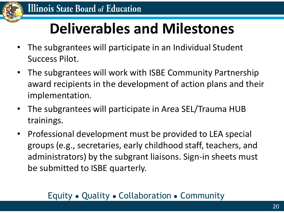

## **Deliverables and Milestones**

- The subgrantees will participate in an Individual Student Success Pilot.
- The subgrantees will work with ISBE Community Partnership award recipients in the development of action plans and their implementation.
- The subgrantees will participate in Area SEL/Trauma HUB trainings.
- Professional development must be provided to LEA special groups (e.g., secretaries, early childhood staff, teachers, and administrators) by the subgrant liaisons. Sign-in sheets must be submitted to ISBE quarterly.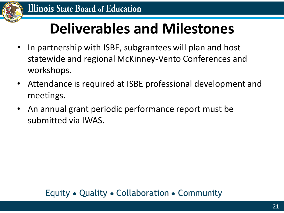

## **Deliverables and Milestones**

- In partnership with ISBE, subgrantees will plan and host statewide and regional McKinney-Vento Conferences and workshops.
- Attendance is required at ISBE professional development and meetings.
- An annual grant periodic performance report must be submitted via IWAS.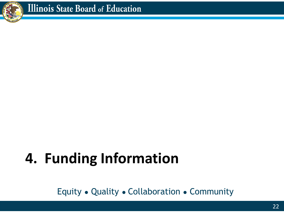

## **4. Funding Information**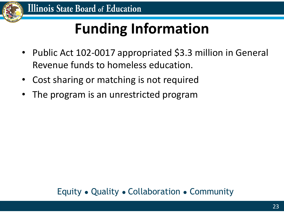

## **Funding Information**

- Public Act 102-0017 appropriated \$3.3 million in General Revenue funds to homeless education.
- Cost sharing or matching is not required
- The program is an unrestricted program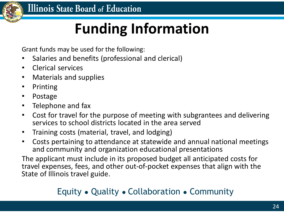

## **Funding Information**

Grant funds may be used for the following:

- Salaries and benefits (professional and clerical)
- Clerical services
- Materials and supplies
- Printing
- Postage
- Telephone and fax
- Cost for travel for the purpose of meeting with subgrantees and delivering services to school districts located in the area served
- Training costs (material, travel, and lodging)
- Costs pertaining to attendance at statewide and annual national meetings and community and organization educational presentations

The applicant must include in its proposed budget all anticipated costs for travel expenses, fees, and other out-of-pocket expenses that align with the State of Illinois travel guide.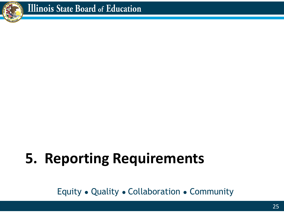

# **5. Reporting Requirements**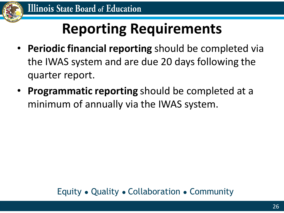

## **Reporting Requirements**

- **Periodic financial reporting** should be completed via the IWAS system and are due 20 days following the quarter report.
- **Programmatic reporting** should be completed at a minimum of annually via the IWAS system.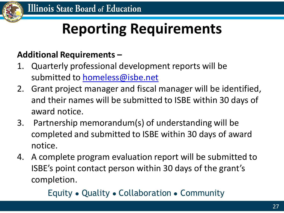

## **Reporting Requirements**

#### **Additional Requirements –**

- 1. Quarterly professional development reports will be submitted to [homeless@isbe.net](mailto:homeless@isbe.net)
- 2. Grant project manager and fiscal manager will be identified, and their names will be submitted to ISBE within 30 days of award notice.
- 3. Partnership memorandum(s) of understanding will be completed and submitted to ISBE within 30 days of award notice.
- 4. A complete program evaluation report will be submitted to ISBE's point contact person within 30 days of the grant's completion.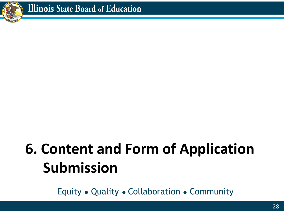

## **6. Content and Form of Application Submission**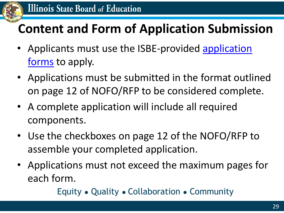

### **Content and Form of Application Submission**

- Applicants must use the ISBE-provided application forms to apply.
- Applications must be submitted in the format outlined on page 12 of NOFO/RFP to be considered complete.
- A complete application will include all required components.
- Use the checkboxes on page 12 of the NOFO/RFP to assemble your completed application.
- Applications must not exceed the maximum pages for each form.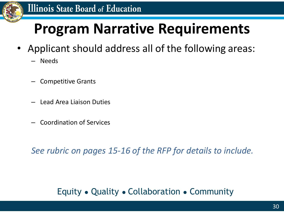

#### **Illinois State Board of Education**

### **Program Narrative Requirements**

- Applicant should address all of the following areas:
	- Needs
	- Competitive Grants
	- Lead Area Liaison Duties
	- Coordination of Services

*See rubric on pages 15-16 of the RFP for details to include.*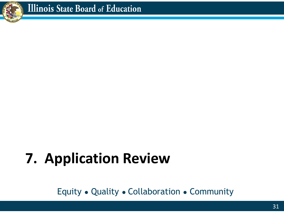

# **7. Application Review**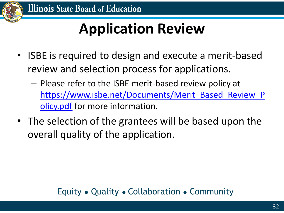

## **Application Review**

- ISBE is required to design and execute a merit-based review and selection process for applications.
	- Please refer to the ISBE merit-based review policy at [https://www.isbe.net/Documents/Merit\\_Based\\_Review\\_P](https://www.isbe.net/Documents/Merit_Based_Review_Policy.pdf) olicy.pdf for more information.
- The selection of the grantees will be based upon the overall quality of the application.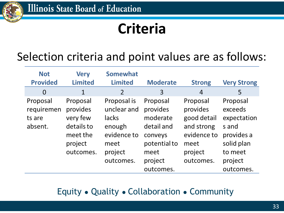

## **Criteria**

### Selection criteria and point values are as follows:

| <b>Not</b><br><b>Provided</b>               | <b>Very</b><br><b>Limited</b>                                                      | <b>Somewhat</b><br><b>Limited</b>                                                            | <b>Moderate</b>                                                                                           | <b>Strong</b>                                                                                    | <b>Very Strong</b>                                                                                         |
|---------------------------------------------|------------------------------------------------------------------------------------|----------------------------------------------------------------------------------------------|-----------------------------------------------------------------------------------------------------------|--------------------------------------------------------------------------------------------------|------------------------------------------------------------------------------------------------------------|
| 0                                           | 1                                                                                  | 2                                                                                            | 3                                                                                                         | 4                                                                                                | 5                                                                                                          |
| Proposal<br>requiremen<br>ts are<br>absent. | Proposal<br>provides<br>very few<br>details to<br>meet the<br>project<br>outcomes. | Proposal is<br>unclear and<br>lacks<br>enough<br>evidence to<br>meet<br>project<br>outcomes. | Proposal<br>provides<br>moderate<br>detail and<br>conveys<br>potential to<br>meet<br>project<br>outcomes. | Proposal<br>provides<br>good detail<br>and strong<br>evidence to<br>meet<br>project<br>outcomes. | Proposal<br>exceeds<br>expectation<br>s and<br>provides a<br>solid plan<br>to meet<br>project<br>outcomes. |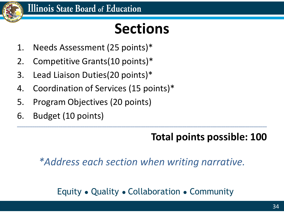

## **Sections**

- 1. Needs Assessment (25 points)\*
- 2. Competitive Grants(10 points)\*
- 3. Lead Liaison Duties(20 points)\*
- 4. Coordination of Services (15 points)\*
- 5. Program Objectives (20 points)
- 6. Budget (10 points)

### **Total points possible: 100**

*\*Address each section when writing narrative.*

**\_\_\_\_\_\_\_\_\_\_\_\_\_\_\_\_\_\_\_\_\_\_\_\_\_\_\_\_\_\_\_\_\_\_\_\_\_\_\_\_\_\_\_\_\_\_\_\_\_\_\_\_\_\_\_\_\_\_\_\_\_\_\_\_\_\_\_\_\_\_\_\_\_\_\_\_\_\_\_\_\_\_\_\_\_\_\_\_\_\_\_\_\_\_\_\_\_\_\_\_\_\_\_\_\_\_\_\_\_\_\_\_\_\_\_**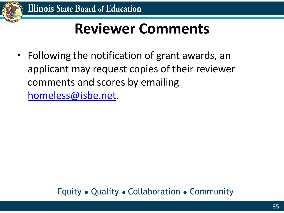

## **Reviewer Comments**

• Following the notification of grant awards, an applicant may request copies of their reviewer comments and scores by emailing [homeless@isbe.net.](mailto:cdenney@isbe.net)